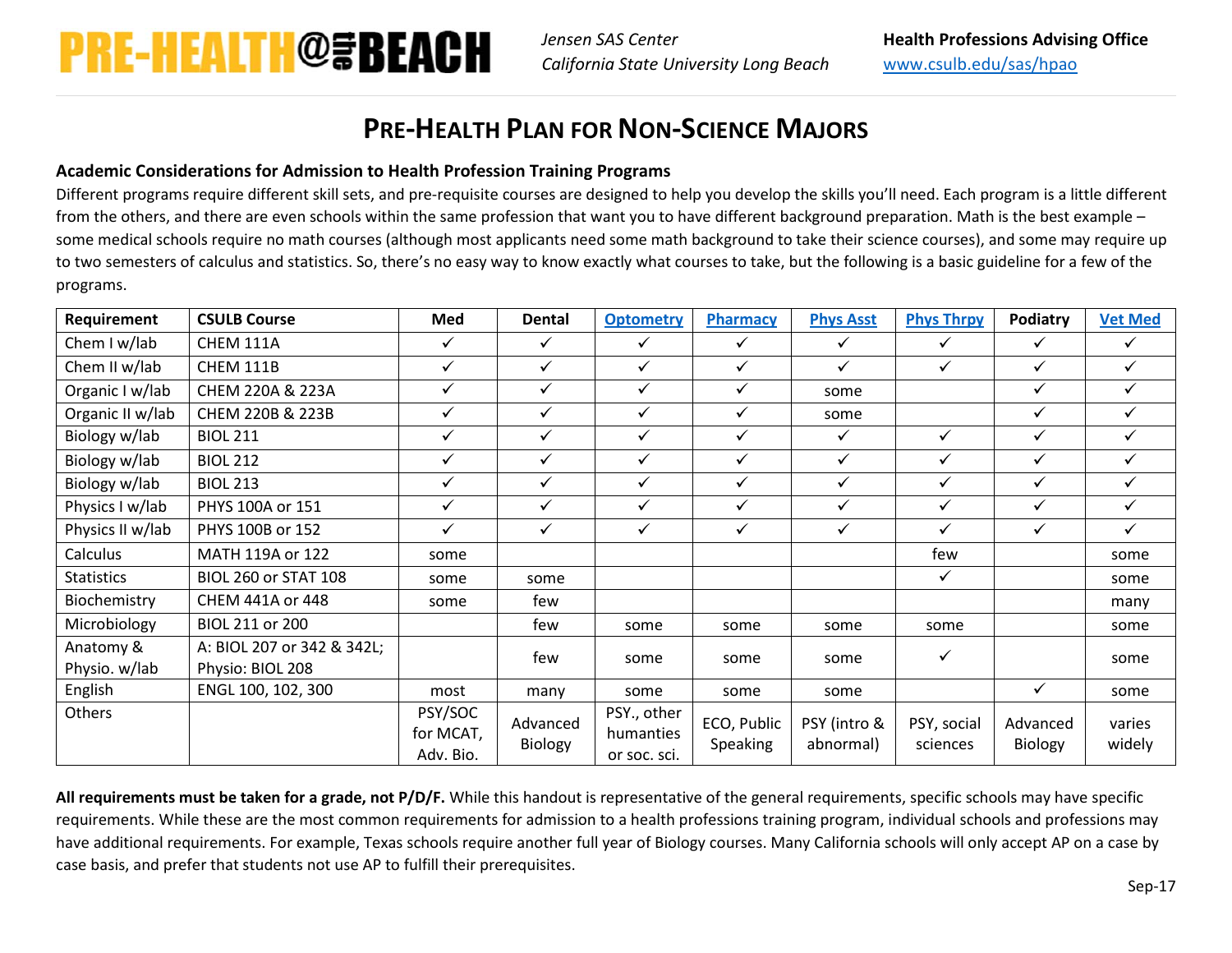*Jensen SAS Center California State University Long Beach*

## **PRE-HEALTH PLAN FOR NON-SCIENCE MAJORS**

## **Academic Considerations for Admission to Health Profession Training Programs**

Different programs require different skill sets, and pre-requisite courses are designed to help you develop the skills you'll need. Each program is a little different from the others, and there are even schools within the same profession that want you to have different background preparation. Math is the best example – some medical schools require no math courses (although most applicants need some math background to take their science courses), and some may require up to two semesters of calculus and statistics. So, there's no easy way to know exactly what courses to take, but the following is a basic guideline for a few of the programs.

| Requirement       | <b>CSULB Course</b>         | Med                               | <b>Dental</b>       | <b>Optometry</b>                         | Pharmacy                | <b>Phys Asst</b>          | <b>Phys Thrpy</b>       | Podiatry            | <b>Vet Med</b>   |
|-------------------|-----------------------------|-----------------------------------|---------------------|------------------------------------------|-------------------------|---------------------------|-------------------------|---------------------|------------------|
| Chem I w/lab      | CHEM 111A                   | $\checkmark$                      | $\checkmark$        | $\checkmark$                             | $\checkmark$            | $\checkmark$              | ✓                       | $\checkmark$        | $\checkmark$     |
| Chem II w/lab     | CHEM 111B                   | $\checkmark$                      | $\checkmark$        | $\checkmark$                             | $\checkmark$            | $\checkmark$              | $\checkmark$            | $\checkmark$        | $\checkmark$     |
| Organic I w/lab   | CHEM 220A & 223A            | $\checkmark$                      | ✓                   | ✓                                        | ✓                       | some                      |                         | ✓                   | $\checkmark$     |
| Organic II w/lab  | CHEM 220B & 223B            | $\checkmark$                      | ✓                   | ✓                                        | ✓                       | some                      |                         | ✓                   | $\checkmark$     |
| Biology w/lab     | <b>BIOL 211</b>             | $\checkmark$                      | $\checkmark$        | ✓                                        | $\checkmark$            | ✓                         | $\checkmark$            | ✓                   | $\checkmark$     |
| Biology w/lab     | <b>BIOL 212</b>             | $\checkmark$                      | $\checkmark$        | ✓                                        | $\checkmark$            | $\checkmark$              | ✓                       | ✓                   | $\checkmark$     |
| Biology w/lab     | <b>BIOL 213</b>             | $\checkmark$                      | ✓                   | ✓                                        | ✓                       | $\checkmark$              | ✓                       | ✓                   | $\checkmark$     |
| Physics I w/lab   | PHYS 100A or 151            | ✓                                 | ✓                   | ✓                                        | ✓                       | $\checkmark$              | ✓                       | ✓                   | $\checkmark$     |
| Physics II w/lab  | PHYS 100B or 152            | $\checkmark$                      | $\checkmark$        | $\checkmark$                             | $\checkmark$            | $\checkmark$              | $\checkmark$            | ✓                   | $\checkmark$     |
| Calculus          | MATH 119A or 122            | some                              |                     |                                          |                         |                           | few                     |                     | some             |
| <b>Statistics</b> | <b>BIOL 260 or STAT 108</b> | some                              | some                |                                          |                         |                           | ✓                       |                     | some             |
| Biochemistry      | CHEM 441A or 448            | some                              | few                 |                                          |                         |                           |                         |                     | many             |
| Microbiology      | BIOL 211 or 200             |                                   | few                 | some                                     | some                    | some                      | some                    |                     | some             |
| Anatomy &         | A: BIOL 207 or 342 & 342L;  |                                   | few                 |                                          |                         | some                      | $\checkmark$            |                     | some             |
| Physio. w/lab     | Physio: BIOL 208            |                                   |                     | some                                     | some                    |                           |                         |                     |                  |
| English           | ENGL 100, 102, 300          | most                              | many                | some                                     | some                    | some                      |                         | ✓                   | some             |
| Others            |                             | PSY/SOC<br>for MCAT,<br>Adv. Bio. | Advanced<br>Biology | PSY., other<br>humanties<br>or soc. sci. | ECO, Public<br>Speaking | PSY (intro &<br>abnormal) | PSY, social<br>sciences | Advanced<br>Biology | varies<br>widely |

**All requirements must be taken for a grade, not P/D/F.** While this handout is representative of the general requirements, specific schools may have specific requirements. While these are the most common requirements for admission to a health professions training program, individual schools and professions may have additional requirements. For example, Texas schools require another full year of Biology courses. Many California schools will only accept AP on a case by case basis, and prefer that students not use AP to fulfill their prerequisites.